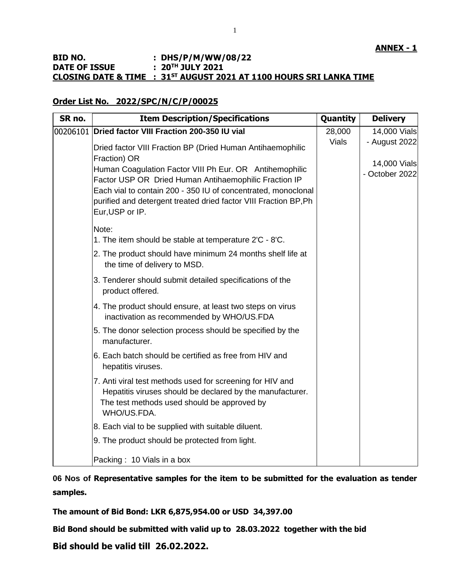## **BID NO. : DHS/P/M/WW/08/22 DATE OF ISSUE : 20TH JULY 2021 CLOSING DATE & TIME : 31ST AUGUST 2021 AT 1100 HOURS SRI LANKA TIME**

## **Order List No. 2022/SPC/N/C/P/00025**

| SR no. | <b>Item Description/Specifications</b>                                  | Quantity     | <b>Delivery</b> |
|--------|-------------------------------------------------------------------------|--------------|-----------------|
|        | 00206101 Dried factor VIII Fraction 200-350 IU vial                     | 28,000       | 14,000 Vials    |
|        | Dried factor VIII Fraction BP (Dried Human Antihaemophilic              | <b>Vials</b> | - August 2022   |
|        | Fraction) OR<br>Human Coagulation Factor VIII Ph Eur. OR Antihemophilic |              | 14,000 Vials    |
|        | Factor USP OR Dried Human Antihaemophilic Fraction IP                   |              | - October 2022  |
|        | Each vial to contain 200 - 350 IU of concentrated, monoclonal           |              |                 |
|        | purified and detergent treated dried factor VIII Fraction BP, Ph        |              |                 |
|        | Eur, USP or IP.                                                         |              |                 |
|        | Note:                                                                   |              |                 |
|        | 1. The item should be stable at temperature 2'C - 8'C.                  |              |                 |
|        | 2. The product should have minimum 24 months shelf life at              |              |                 |
|        | the time of delivery to MSD.                                            |              |                 |
|        | 3. Tenderer should submit detailed specifications of the                |              |                 |
|        | product offered.                                                        |              |                 |
|        | 4. The product should ensure, at least two steps on virus               |              |                 |
|        | inactivation as recommended by WHO/US.FDA                               |              |                 |
|        | 5. The donor selection process should be specified by the               |              |                 |
|        | manufacturer.                                                           |              |                 |
|        | 6. Each batch should be certified as free from HIV and                  |              |                 |
|        | hepatitis viruses.                                                      |              |                 |
|        | 7. Anti viral test methods used for screening for HIV and               |              |                 |
|        | Hepatitis viruses should be declared by the manufacturer.               |              |                 |
|        | The test methods used should be approved by                             |              |                 |
|        | WHO/US.FDA.                                                             |              |                 |
|        | 8. Each vial to be supplied with suitable diluent.                      |              |                 |
|        | 9. The product should be protected from light.                          |              |                 |
|        | Packing: 10 Vials in a box                                              |              |                 |

**06 Nos of Representative samples for the item to be submitted for the evaluation as tender samples.**

**The amount of Bid Bond: LKR 6,875,954.00 or USD 34,397.00**

**Bid Bond should be submitted with valid up to 28.03.2022 together with the bid**

**Bid should be valid till 26.02.2022.**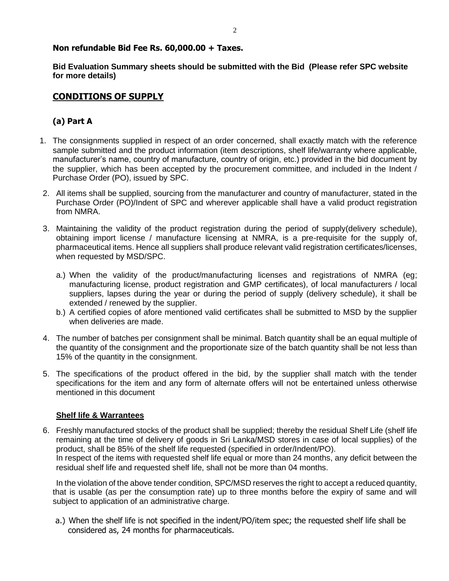## **Non refundable Bid Fee Rs. 60,000.00 + Taxes.**

**Bid Evaluation Summary sheets should be submitted with the Bid (Please refer SPC website for more details)**

# **CONDITIONS OF SUPPLY**

# **(a) Part A**

- 1. The consignments supplied in respect of an order concerned, shall exactly match with the reference sample submitted and the product information (item descriptions, shelf life/warranty where applicable, manufacturer's name, country of manufacture, country of origin, etc.) provided in the bid document by the supplier, which has been accepted by the procurement committee, and included in the Indent / Purchase Order (PO), issued by SPC.
- 2. All items shall be supplied, sourcing from the manufacturer and country of manufacturer, stated in the Purchase Order (PO)/Indent of SPC and wherever applicable shall have a valid product registration from NMRA.
- 3. Maintaining the validity of the product registration during the period of supply(delivery schedule), obtaining import license / manufacture licensing at NMRA, is a pre-requisite for the supply of, pharmaceutical items. Hence all suppliers shall produce relevant valid registration certificates/licenses, when requested by MSD/SPC.
	- a.) When the validity of the product/manufacturing licenses and registrations of NMRA (eg; manufacturing license, product registration and GMP certificates), of local manufacturers / local suppliers, lapses during the year or during the period of supply (delivery schedule), it shall be extended / renewed by the supplier.
	- b.) A certified copies of afore mentioned valid certificates shall be submitted to MSD by the supplier when deliveries are made.
- 4. The number of batches per consignment shall be minimal. Batch quantity shall be an equal multiple of the quantity of the consignment and the proportionate size of the batch quantity shall be not less than 15% of the quantity in the consignment.
- 5. The specifications of the product offered in the bid, by the supplier shall match with the tender specifications for the item and any form of alternate offers will not be entertained unless otherwise mentioned in this document

## **Shelf life & Warrantees**

6. Freshly manufactured stocks of the product shall be supplied; thereby the residual Shelf Life (shelf life remaining at the time of delivery of goods in Sri Lanka/MSD stores in case of local supplies) of the product, shall be 85% of the shelf life requested (specified in order/Indent/PO). In respect of the items with requested shelf life equal or more than 24 months, any deficit between the residual shelf life and requested shelf life, shall not be more than 04 months.

In the violation of the above tender condition, SPC/MSD reserves the right to accept a reduced quantity, that is usable (as per the consumption rate) up to three months before the expiry of same and will subject to application of an administrative charge.

a.) When the shelf life is not specified in the indent/PO/item spec; the requested shelf life shall be considered as, 24 months for pharmaceuticals.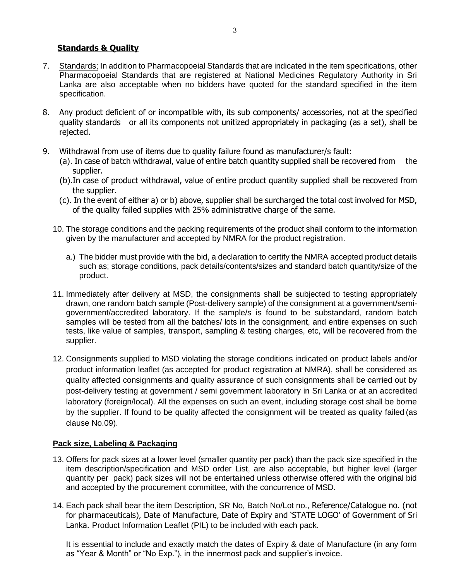## **Standards & Quality**

- 7. Standards; In addition to Pharmacopoeial Standards that are indicated in the item specifications, other Pharmacopoeial Standards that are registered at National Medicines Regulatory Authority in Sri Lanka are also acceptable when no bidders have quoted for the standard specified in the item specification.
- 8. Any product deficient of or incompatible with, its sub components/ accessories, not at the specified quality standards or all its components not unitized appropriately in packaging (as a set), shall be rejected.
- 9. Withdrawal from use of items due to quality failure found as manufacturer/s fault:
	- (a). In case of batch withdrawal, value of entire batch quantity supplied shall be recovered from the supplier.
	- (b).In case of product withdrawal, value of entire product quantity supplied shall be recovered from the supplier.
	- (c). In the event of either a) or b) above, supplier shall be surcharged the total cost involved for MSD, of the quality failed supplies with 25% administrative charge of the same.
	- 10. The storage conditions and the packing requirements of the product shall conform to the information given by the manufacturer and accepted by NMRA for the product registration.
		- a.) The bidder must provide with the bid, a declaration to certify the NMRA accepted product details such as; storage conditions, pack details/contents/sizes and standard batch quantity/size of the product.
	- 11. Immediately after delivery at MSD, the consignments shall be subjected to testing appropriately drawn, one random batch sample (Post-delivery sample) of the consignment at a government/semigovernment/accredited laboratory. If the sample/s is found to be substandard, random batch samples will be tested from all the batches/ lots in the consignment, and entire expenses on such tests, like value of samples, transport, sampling & testing charges, etc, will be recovered from the supplier.
	- 12. Consignments supplied to MSD violating the storage conditions indicated on product labels and/or product information leaflet (as accepted for product registration at NMRA), shall be considered as quality affected consignments and quality assurance of such consignments shall be carried out by post-delivery testing at government / semi government laboratory in Sri Lanka or at an accredited laboratory (foreign/local). All the expenses on such an event, including storage cost shall be borne by the supplier. If found to be quality affected the consignment will be treated as quality failed (as clause No.09).

## **Pack size, Labeling & Packaging**

- 13. Offers for pack sizes at a lower level (smaller quantity per pack) than the pack size specified in the item description/specification and MSD order List, are also acceptable, but higher level (larger quantity per pack) pack sizes will not be entertained unless otherwise offered with the original bid and accepted by the procurement committee, with the concurrence of MSD.
- 14. Each pack shall bear the item Description, SR No, Batch No/Lot no., Reference/Catalogue no. (not for pharmaceuticals), Date of Manufacture, Date of Expiry and 'STATE LOGO' of Government of Sri Lanka. Product Information Leaflet (PIL) to be included with each pack.

It is essential to include and exactly match the dates of Expiry & date of Manufacture (in any form as "Year & Month" or "No Exp."), in the innermost pack and supplier's invoice.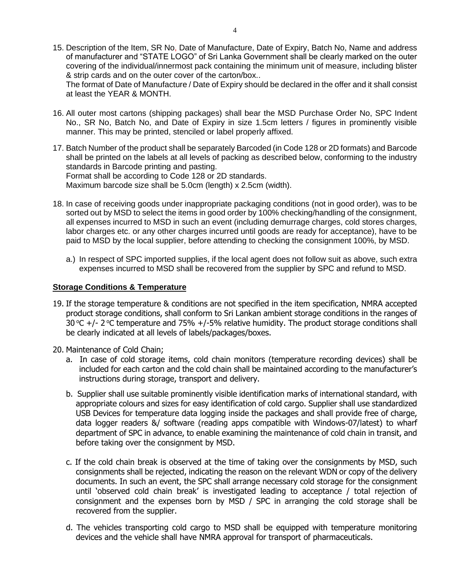15. Description of the Item, SR No, Date of Manufacture, Date of Expiry, Batch No, Name and address of manufacturer and "STATE LOGO" of Sri Lanka Government shall be clearly marked on the outer covering of the individual/innermost pack containing the minimum unit of measure, including blister & strip cards and on the outer cover of the carton/box..

The format of Date of Manufacture / Date of Expiry should be declared in the offer and it shall consist at least the YEAR & MONTH.

- 16. All outer most cartons (shipping packages) shall bear the MSD Purchase Order No, SPC Indent No., SR No, Batch No, and Date of Expiry in size 1.5cm letters / figures in prominently visible manner. This may be printed, stenciled or label properly affixed.
- 17. Batch Number of the product shall be separately Barcoded (in Code 128 or 2D formats) and Barcode shall be printed on the labels at all levels of packing as described below, conforming to the industry standards in Barcode printing and pasting. Format shall be according to Code 128 or 2D standards. Maximum barcode size shall be 5.0cm (length) x 2.5cm (width).
- 18. In case of receiving goods under inappropriate packaging conditions (not in good order), was to be sorted out by MSD to select the items in good order by 100% checking/handling of the consignment, all expenses incurred to MSD in such an event (including demurrage charges, cold stores charges, labor charges etc. or any other charges incurred until goods are ready for acceptance), have to be paid to MSD by the local supplier, before attending to checking the consignment 100%, by MSD.
	- a.) In respect of SPC imported supplies, if the local agent does not follow suit as above, such extra expenses incurred to MSD shall be recovered from the supplier by SPC and refund to MSD.

#### **Storage Conditions & Temperature**

- 19. If the storage temperature & conditions are not specified in the item specification, NMRA accepted product storage conditions, shall conform to Sri Lankan ambient storage conditions in the ranges of 30 °C  $+$ /- 2 °C temperature and 75%  $+$ /-5% relative humidity. The product storage conditions shall be clearly indicated at all levels of labels/packages/boxes.
- 20. Maintenance of Cold Chain;
	- a. In case of cold storage items, cold chain monitors (temperature recording devices) shall be included for each carton and the cold chain shall be maintained according to the manufacturer's instructions during storage, transport and delivery.
	- b. Supplier shall use suitable prominently visible identification marks of international standard, with appropriate colours and sizes for easy identification of cold cargo. Supplier shall use standardized USB Devices for temperature data logging inside the packages and shall provide free of charge, data logger readers &/ software (reading apps compatible with Windows-07/latest) to wharf department of SPC in advance, to enable examining the maintenance of cold chain in transit, and before taking over the consignment by MSD.
	- c. If the cold chain break is observed at the time of taking over the consignments by MSD, such consignments shall be rejected, indicating the reason on the relevant WDN or copy of the delivery documents. In such an event, the SPC shall arrange necessary cold storage for the consignment until 'observed cold chain break' is investigated leading to acceptance / total rejection of consignment and the expenses born by MSD / SPC in arranging the cold storage shall be recovered from the supplier.
	- d. The vehicles transporting cold cargo to MSD shall be equipped with temperature monitoring devices and the vehicle shall have NMRA approval for transport of pharmaceuticals.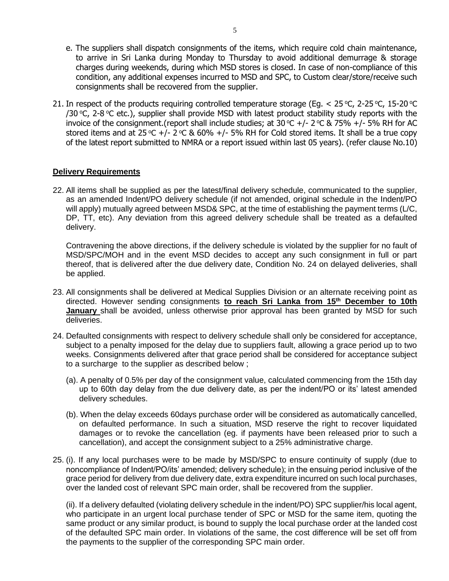- e. The suppliers shall dispatch consignments of the items, which require cold chain maintenance, to arrive in Sri Lanka during Monday to Thursday to avoid additional demurrage & storage charges during weekends, during which MSD stores is closed. In case of non-compliance of this condition, any additional expenses incurred to MSD and SPC, to Custom clear/store/receive such consignments shall be recovered from the supplier.
- 21. In respect of the products requiring controlled temperature storage (Eq.  $<$  25 °C, 2-25 °C, 15-20 °C /30 °C, 2-8 °C etc.), supplier shall provide MSD with latest product stability study reports with the invoice of the consignment.(report shall include studies; at 30 °C +/- 2 °C & 75% +/- 5% RH for AC stored items and at 25 °C +/- 2 °C & 60% +/- 5% RH for Cold stored items. It shall be a true copy of the latest report submitted to NMRA or a report issued within last 05 years). (refer clause No.10)

#### **Delivery Requirements**

22. All items shall be supplied as per the latest/final delivery schedule, communicated to the supplier, as an amended Indent/PO delivery schedule (if not amended, original schedule in the Indent/PO will apply) mutually agreed between MSD& SPC, at the time of establishing the payment terms (L/C, DP, TT, etc). Any deviation from this agreed delivery schedule shall be treated as a defaulted delivery.

Contravening the above directions, if the delivery schedule is violated by the supplier for no fault of MSD/SPC/MOH and in the event MSD decides to accept any such consignment in full or part thereof, that is delivered after the due delivery date, Condition No. 24 on delayed deliveries, shall be applied.

- 23. All consignments shall be delivered at Medical Supplies Division or an alternate receiving point as directed. However sending consignments **to reach Sri Lanka from 15th December to 10th January** shall be avoided, unless otherwise prior approval has been granted by MSD for such deliveries.
- 24. Defaulted consignments with respect to delivery schedule shall only be considered for acceptance, subject to a penalty imposed for the delay due to suppliers fault, allowing a grace period up to two weeks. Consignments delivered after that grace period shall be considered for acceptance subject to a surcharge to the supplier as described below ;
	- (a). A penalty of 0.5% per day of the consignment value, calculated commencing from the 15th day up to 60th day delay from the due delivery date, as per the indent/PO or its' latest amended delivery schedules.
	- (b). When the delay exceeds 60days purchase order will be considered as automatically cancelled, on defaulted performance. In such a situation, MSD reserve the right to recover liquidated damages or to revoke the cancellation (eg. if payments have been released prior to such a cancellation), and accept the consignment subject to a 25% administrative charge.
- 25. (i). If any local purchases were to be made by MSD/SPC to ensure continuity of supply (due to noncompliance of Indent/PO/its' amended; delivery schedule); in the ensuing period inclusive of the grace period for delivery from due delivery date, extra expenditure incurred on such local purchases, over the landed cost of relevant SPC main order, shall be recovered from the supplier.

(ii). If a delivery defaulted (violating delivery schedule in the indent/PO) SPC supplier/his local agent, who participate in an urgent local purchase tender of SPC or MSD for the same item, quoting the same product or any similar product, is bound to supply the local purchase order at the landed cost of the defaulted SPC main order. In violations of the same, the cost difference will be set off from the payments to the supplier of the corresponding SPC main order.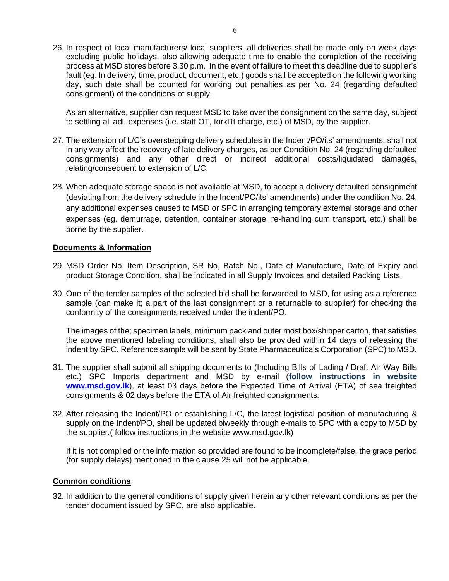26. In respect of local manufacturers/ local suppliers, all deliveries shall be made only on week days excluding public holidays, also allowing adequate time to enable the completion of the receiving process at MSD stores before 3.30 p.m. In the event of failure to meet this deadline due to supplier's fault (eg. In delivery; time, product, document, etc.) goods shall be accepted on the following working day, such date shall be counted for working out penalties as per No. 24 (regarding defaulted consignment) of the conditions of supply.

As an alternative, supplier can request MSD to take over the consignment on the same day, subject to settling all adl. expenses (i.e. staff OT, forklift charge, etc.) of MSD, by the supplier.

- 27. The extension of L/C's overstepping delivery schedules in the Indent/PO/its' amendments, shall not in any way affect the recovery of late delivery charges, as per Condition No. 24 (regarding defaulted consignments) and any other direct or indirect additional costs/liquidated damages, relating/consequent to extension of L/C.
- 28. When adequate storage space is not available at MSD, to accept a delivery defaulted consignment (deviating from the delivery schedule in the Indent/PO/its' amendments) under the condition No. 24, any additional expenses caused to MSD or SPC in arranging temporary external storage and other expenses (eg. demurrage, detention, container storage, re-handling cum transport, etc.) shall be borne by the supplier.

#### **Documents & Information**

- 29. MSD Order No, Item Description, SR No, Batch No., Date of Manufacture, Date of Expiry and product Storage Condition, shall be indicated in all Supply Invoices and detailed Packing Lists.
- 30. One of the tender samples of the selected bid shall be forwarded to MSD, for using as a reference sample (can make it; a part of the last consignment or a returnable to supplier) for checking the conformity of the consignments received under the indent/PO.

The images of the; specimen labels, minimum pack and outer most box/shipper carton, that satisfies the above mentioned labeling conditions, shall also be provided within 14 days of releasing the indent by SPC. Reference sample will be sent by State Pharmaceuticals Corporation (SPC) to MSD.

- 31. The supplier shall submit all shipping documents to (Including Bills of Lading / Draft Air Way Bills etc.) SPC Imports department and MSD by e-mail (**follow instructions in website [www.msd.gov.lk](http://www.msd.gov.lk/)**), at least 03 days before the Expected Time of Arrival (ETA) of sea freighted consignments & 02 days before the ETA of Air freighted consignments.
- 32. After releasing the Indent/PO or establishing L/C, the latest logistical position of manufacturing & supply on the Indent/PO, shall be updated biweekly through e-mails to SPC with a copy to MSD by the supplier.( follow instructions in the website www.msd.gov.lk)

If it is not complied or the information so provided are found to be incomplete/false, the grace period (for supply delays) mentioned in the clause 25 will not be applicable.

#### **Common conditions**

32. In addition to the general conditions of supply given herein any other relevant conditions as per the tender document issued by SPC, are also applicable.